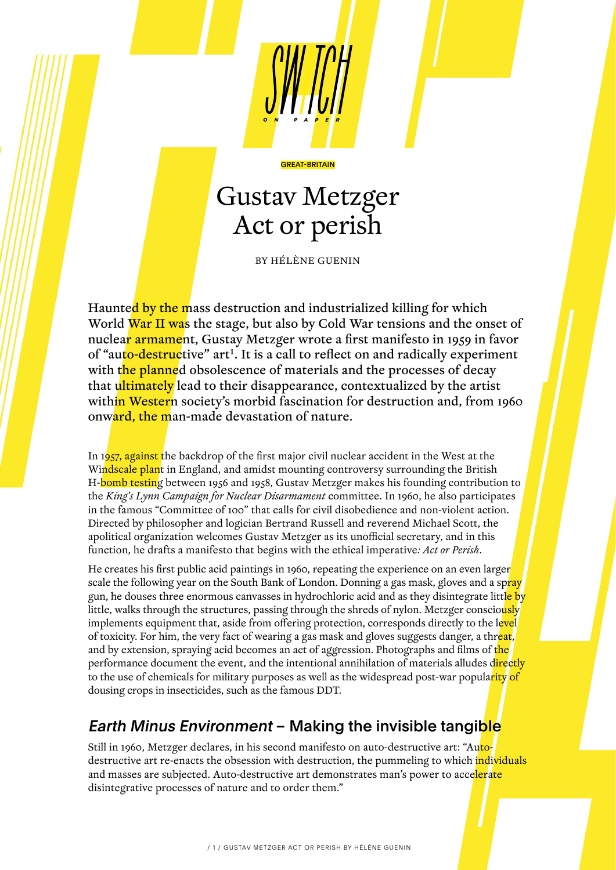# Gustav Metzger Act or perish

GREAT-BRITAIN

BY HÉLÈNE GUENIN

Haunted by the mass destruction and industrialized killing for which World War II was the stage, but also by Cold War tensions and the onset of nuclear armament, Gustay Metzger wrote a first manifesto in 1959 in favor of "auto-destructive" art<sup>1</sup>. It is a call to reflect on and radically experiment with the planned obsolescence of materials and the processes of decay that ultimately lead to their disappearance, contextualized by the artist within Western society's morbid fascination for destruction and, from 1960 onward, the man-made devastation of nature.

In 1957, against the backdrop of the first major civil nuclear accident in the West at the Windscale plant in England, and amidst mounting controversy surrounding the British H-bomb testing between 1956 and 1958, Gustav Metzger makes his founding contribution to the *King's Lynn Campaign for Nuclear Disarmament* committee. In 1960, he also participates in the famous "Committee of 100" that calls for civil disobedience and non-violent action. Directed by philosopher and logician Bertrand Russell and reverend Michael Scott, the apolitical organization welcomes Gustav Metzger as its unofficial secretary, and in this function, he drafts a manifesto that begins with the ethical imperative*: Act or Perish*.

He creates his first public acid paintings in 1960, repeating the experience on an even larger scale the following year on the South Bank of London. Donning a gas mask, gloves and a spray gun, he douses three enormous canvasses in hydrochloric acid and as they disintegrate litt<mark>le by</mark> little, walks through the structures, passing through the shreds of nylon. Metzger consciously implements equipment that, aside from offering protection, corresponds directly to the level of toxicity. For him, the very fact of wearing a gas mask and gloves suggests danger, a threat, and by extension, spraying acid becomes an act of aggression. Photographs and films of the performance document the event, and the intentional annihilation of materials alludes directly to the use of chemicals for military purposes as well as the widespread post-war popularity of dousing crops in insecticides, such as the famous DDT.

# Earth Minus Environment - Making the invisible tangible

Still in 1960, Metzger declares, in his second manifesto on auto-destructive art: "Autodestructive art re-enacts the obsession with destruction, the pummeling to which individuals and masses are subjected. Auto-destructive art demonstrates man's power to accelerate disintegrative processes of nature and to order them."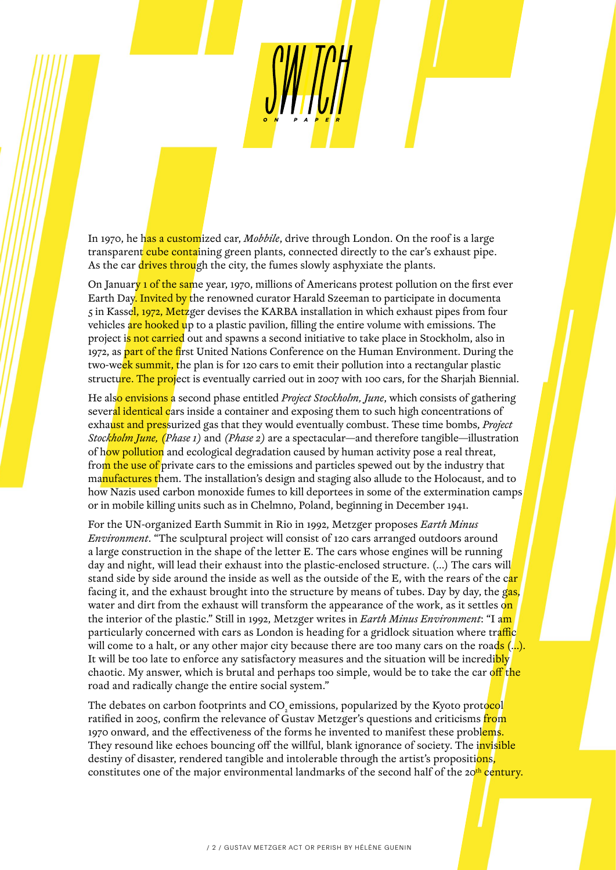In 1970, he has a customized car, *Mobbile*, drive through London. On the roof is a large transparent cube containing green plants, connected directly to the car's exhaust pipe. As the car drives through the city, the fumes slowly asphyxiate the plants.

On January 1 of the same year, 1970, millions of Americans protest pollution on the first ever Earth Day. Invited by the renowned curator Harald Szeeman to participate in documenta 5 in Kassel, 1972, Metzger devises the KARBA installation in which exhaust pipes from four vehicles are hooked up to a plastic pavilion, filling the entire volume with emissions. The project is not carried out and spawns a second initiative to take place in Stockholm, also in 1972, as part of the first United Nations Conference on the Human Environment. During the two-week summit, the plan is for 120 cars to emit their pollution into a rectangular plastic structure. The project is eventually carried out in 2007 with 100 cars, for the Sharjah Biennial.

He also envisions a second phase entitled *Project Stockholm, June*, which consists of gathering several identical cars inside a container and exposing them to such high concentrations of exhaust and pressurized gas that they would eventually combust. These time bombs, *Project Stockholm June, (Phase 1)* and *(Phase 2)* are a spectacular—and therefore tangible—illustration of how pollution and ecological degradation caused by human activity pose a real threat, from the use of private cars to the emissions and particles spewed out by the industry that manufactures them. The installation's design and staging also allude to the Holocaust, and to how Nazis used carbon monoxide fumes to kill deportees in some of the extermination camps. or in mobile killing units such as in Chelmno, Poland, beginning in December 1941.

For the UN-organized Earth Summit in Rio in 1992, Metzger proposes *Earth Minus Environment*. "The sculptural project will consist of 120 cars arranged outdoors around a large construction in the shape of the letter E. The cars whose engines will be running day and night, will lead their exhaust into the plastic-enclosed structure. (…) The cars will stand side by side around the inside as well as the outside of the E, with the rears of the car facing it, and the exhaust brought into the structure by means of tubes. Day by day, the gas, water and dirt from the exhaust will transform the appearance of the work, as it settles on the interior of the plastic." Still in 1992, Metzger writes in *Earth Minus Environment*: "I am particularly concerned with cars as London is heading for a gridlock situation where traffic will come to a halt, or any other major city because there are too many cars on the roads  $($ ...). It will be too late to enforce any satisfactory measures and the situation will be incredibly chaotic. My answer, which is brutal and perhaps too simple, would be to take the car off the road and radically change the entire social system."

The debates on carbon footprints and CO<sub>2</sub> emissions, popularized by the Kyoto protocol ratified in 2005, confirm the relevance of Gustav Metzger's questions and criticisms from 1970 onward, and the effectiveness of the forms he invented to manifest these problems. They resound like echoes bouncing off the willful, blank ignorance of society. The invisible destiny of disaster, rendered tangible and intolerable through the artist's propositions, constitutes one of the major environmental landmarks of the second half of the 20<sup>th</sup> century.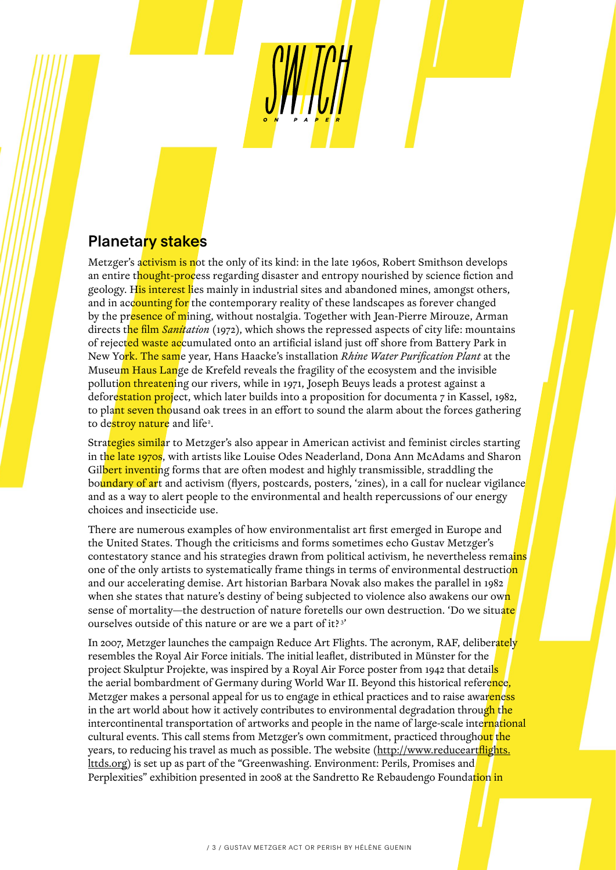## **Planetary stakes**

Metzger's activism is not the only of its kind: in the late 1960s, Robert Smithson develops an entire thought-process regarding disaster and entropy nourished by science fiction and geology. His interest lies mainly in industrial sites and abandoned mines, amongst others, and in accounting for the contemporary reality of these landscapes as forever changed by the presence of mining, without nostalgia. Together with Jean-Pierre Mirouze, Arman directs the film *Sanitation* (1972), which shows the repressed aspects of city life: mountains of rejected waste accumulated onto an artificial island just off shore from Battery Park in New York. The same year, Hans Haacke's installation *Rhine Water Purification Plant* at the Museum Haus Lange de Krefeld reveals the fragility of the ecosystem and the invisible pollution threatening our rivers, while in 1971, Joseph Beuys leads a protest against a deforestation project, which later builds into a proposition for documenta 7 in Kassel, 1982, to plant seven thousand oak trees in an effort to sound the alarm about the forces gathering to de<mark>stroy nature</mark> and life<sup>2</sup>.

Strategies similar to Metzger's also appear in American activist and feminist circles starting in the late 1970s, with artists like Louise Odes Neaderland, Dona Ann McAdams and Sharon Gilbert inventing forms that are often modest and highly transmissible, straddling the boundary of art and activism (flyers, postcards, posters, 'zines), in a call for nuclear vigilance and as a way to alert people to the environmental and health repercussions of our energy choices and insecticide use.

There are numerous examples of how environmentalist art first emerged in Europe and the United States. Though the criticisms and forms sometimes echo Gustav Metzger's contestatory stance and his strategies drawn from political activism, he nevertheless remains one of the only artists to systematically frame things in terms of environmental destruction and our accelerating demise. Art historian Barbara Novak also makes the parallel in 1982 when she states that nature's destiny of being subjected to violence also awakens our own sense of mortality—the destruction of nature foretells our own destruction. 'Do we situate' ourselves outside of this nature or are we a part of it? 3'

In 2007, Metzger launches the campaign Reduce Art Flights. The acronym, RAF, deliberately resembles the Royal Air Force initials. The initial leaflet, distributed in Münster for the project Skulptur Projekte, was inspired by a Royal Air Force poster from 1942 that details the aerial bombardment of Germany during World War II. Beyond this historical reference, Metzger makes a personal appeal for us to engage in ethical practices and to raise awareness in the art world about how it actively contributes to environmental degradation through the intercontinental transportation of artworks and people in the name of large-scale international cultural events. This call stems from Metzger's own commitment, practiced throughout the years, to reducing his travel as much as possible. The website (http://www.reduceart<mark>flights.</mark> [lttds.org\)](http://www.reduceartflights.lttds.org) is set up as part of the "Greenwashing. Environment: Perils, Promises and Perplexities" exhibition presented in 2008 at the Sandretto Re Rebaudengo Foundation in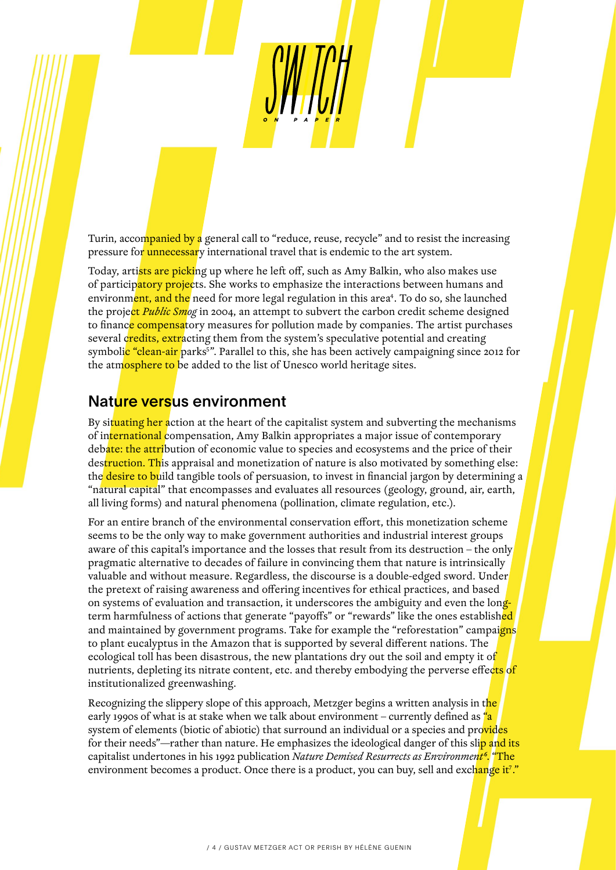Turin, accompanied by a general call to "reduce, reuse, recycle" and to resist the increasing pressure for unnecessary international travel that is endemic to the art system.

Today, artists are picking up where he left off, such as Amy Balkin, who also makes use of participatory projects. She works to emphasize the interactions between humans and environm<mark>ent, and the</mark> need for more legal regulation in this area<sup>4</sup>. To do so, she launched the project *Public Smog* in 2004, an attempt to subvert the carbon credit scheme designed to finance compensatory measures for pollution made by companies. The artist purchases several credits, extracting them from the system's speculative potential and creating symboli<mark>c "clean-air</mark> parks<sup>s</sup>". Parallel to this, she has been actively campaigning since 2012 for the atmosphere to be added to the list of Unesco world heritage sites.

#### Nature versus environment

By situating her action at the heart of the capitalist system and subverting the mechanisms of international compensation, Amy Balkin appropriates a major issue of contemporary debate: the attribution of economic value to species and ecosystems and the price of their destruction. This appraisal and monetization of nature is also motivated by something else: the desire to build tangible tools of persuasion, to invest in financial jargon by determining a "natural capital" that encompasses and evaluates all resources (geology, ground, air, earth, all living forms) and natural phenomena (pollination, climate regulation, etc.).

For an entire branch of the environmental conservation effort, this monetization scheme seems to be the only way to make government authorities and industrial interest groups aware of this capital's importance and the losses that result from its destruction – the only pragmatic alternative to decades of failure in convincing them that nature is intrinsically valuable and without measure. Regardless, the discourse is a double-edged sword. Under the pretext of raising awareness and offering incentives for ethical practices, and based on systems of evaluation and transaction, it underscores the ambiguity and even the longterm harmfulness of actions that generate "payoffs" or "rewards" like the ones established and maintained by government programs. Take for example the "reforestation" campaigns to plant eucalyptus in the Amazon that is supported by several different nations. The ecological toll has been disastrous, the new plantations dry out the soil and empty it of nutrients, depleting its nitrate content, etc. and thereby embodying the perverse effects of institutionalized greenwashing.

Recognizing the slippery slope of this approach, Metzger begins a written analysis in the early 1990s of what is at stake when we talk about environment – currently defined as "a system of elements (biotic of abiotic) that surround an individual or a species and provides for their needs"—rather than nature. He emphasizes the ideological danger of this slip and its capitalist undertones in his 1992 publication *Nature Demised Resurrects as Environment6*. "The environment becomes a product. Once there is a product, you can buy, sell and exc<mark>hange it<sup>7</sup>."</mark>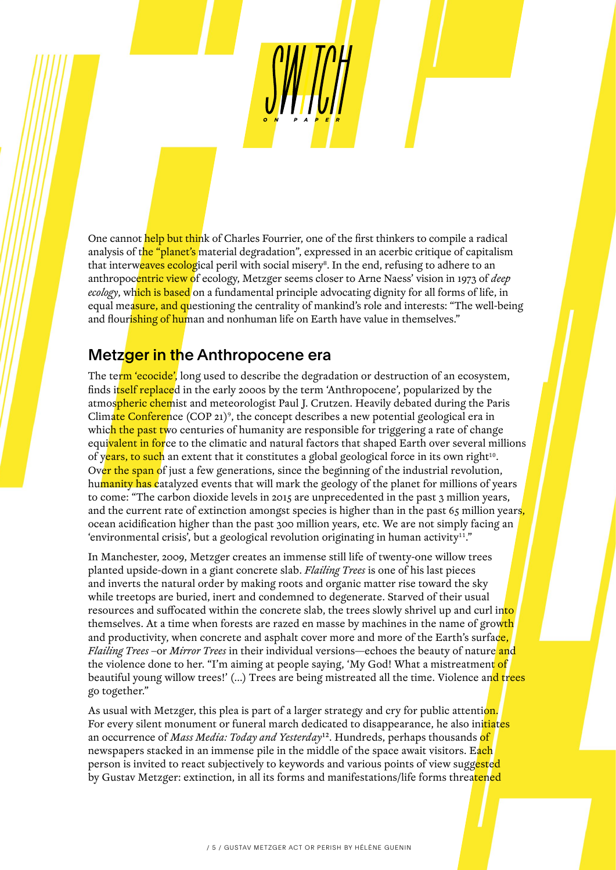One cannot help but think of Charles Fourrier, one of the first thinkers to compile a radical analysis of the "planet's material degradation", expressed in an acerbic critique of capitalism that interw<mark>eaves ecolog</mark>ical peril with social misery<sup>8</sup>. In the end, refusing to adhere to an anthropocentric view of ecology, Metzger seems closer to Arne Naess' vision in 1973 of *deep ecology*, which is based on a fundamental principle advocating dignity for all forms of life, in equal measure, and questioning the centrality of mankind's role and interests: "The well-being and flourishing of human and nonhuman life on Earth have value in themselves."

### Metzger in the Anthropocene era

The term 'ecocide', long used to describe the degradation or destruction of an ecosystem, finds itself replaced in the early 2000s by the term 'Anthropocene', popularized by the atmospheric chemist and meteorologist Paul J. Crutzen. Heavily debated during the Paris Climate Conference (COP 21)<sup>9</sup>, the concept describes a new potential geological era in which the past two centuries of humanity are responsible for triggering a rate of change equi<mark>valent in for</mark>ce to the climatic and natural factors that shaped Earth over several millions of years, to such an extent that it constitutes a global geological force in its own right<sup>10</sup>. Over the span of just a few generations, since the beginning of the industrial revolution, humanity has catalyzed events that will mark the geology of the planet for millions of years to come: "The carbon dioxide levels in 2015 are unprecedented in the past 3 million years, and the current rate of extinction amongst species is higher than in the past  $65$  million years, ocean acidification higher than the past 300 million years, etc. We are not simply facing an 'environmental crisis', but a geological revolution originating in human activity<sup>11</sup>."

In Manchester, 2009, Metzger creates an immense still life of twenty-one willow trees planted upside-down in a giant concrete slab. *Flailing Trees* is one of his last pieces and inverts the natural order by making roots and organic matter rise toward the sky while treetops are buried, inert and condemned to degenerate. Starved of their usual resources and suffocated within the concrete slab, the trees slowly shrivel up and curl into themselves. At a time when forests are razed en masse by machines in the name of growth and productivity, when concrete and asphalt cover more and more of the Earth's surface, *Flailing Trees* –or *Mirror Trees* in their individual versions—echoes the beauty of nature and the violence done to her. "I'm aiming at people saying, 'My God! What a mistreatment of beautiful young willow trees!' (...) Trees are being mistreated all the time. Violence and trees go together."

As usual with Metzger, this plea is part of a larger strategy and cry for public attention. For every silent monument or funeral march dedicated to disappearance, he also initiates an occurrence of *Mass Media: Today and Yesterday*12. Hundreds, perhaps thousands of newspapers stacked in an immense pile in the middle of the space await visitors. Each person is invited to react subjectively to keywords and various points of view suggested by Gustav Metzger: extinction, in all its forms and manifestations/life forms threatened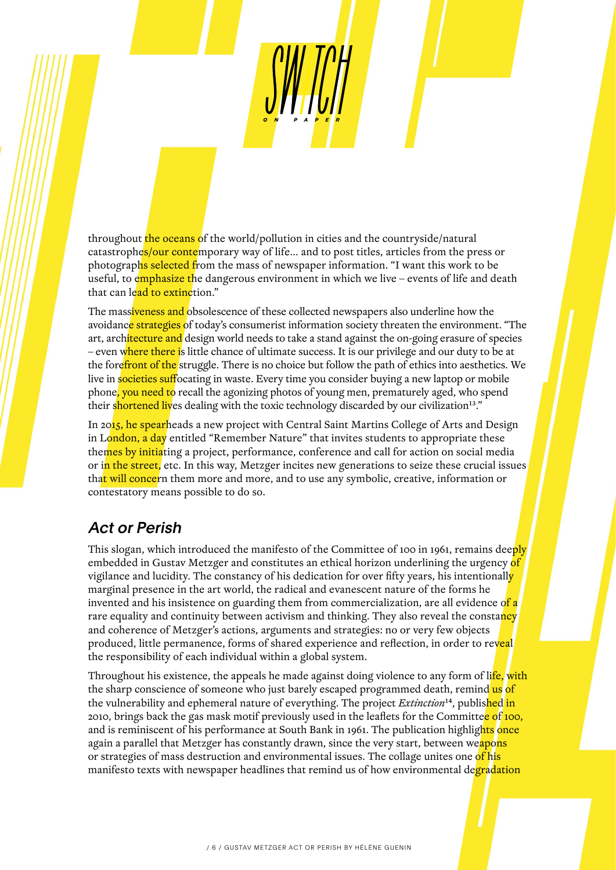throughout the oceans of the world/pollution in cities and the countryside/natural catastrophes/our contemporary way of life... and to post titles, articles from the press or photographs selected from the mass of newspaper information. "I want this work to be useful, to emphasize the dangerous environment in which we live – events of life and death that can lead to extinction."

The massiveness and obsolescence of these collected newspapers also underline how the avoidance strategies of today's consumerist information society threaten the environment. "The art, architecture and design world needs to take a stand against the on-going erasure of species – even where there is little chance of ultimate success. It is our privilege and our duty to be at the fore front of the struggle. There is no choice but follow the path of ethics into aesthetics. We live in societies suffocating in waste. Every time you consider buying a new laptop or mobile phone, you need to recall the agonizing photos of young men, prematurely aged, who spend their shortened lives dealing with the toxic technology discarded by our civilization<sup>13</sup>."

In 2015, he spearheads a new project with Central Saint Martins College of Arts and Design in London, a day entitled "Remember Nature" that invites students to appropriate these themes by initiating a project, performance, conference and call for action on social media or in the street, etc. In this way, Metzger incites new generations to seize these crucial issues that will concern them more and more, and to use any symbolic, creative, information or contestatory means possible to do so.

## Act or Perish

This slogan, which introduced the manifesto of the Committee of 100 in 1961, remains deeply embedded in Gustav Metzger and constitutes an ethical horizon underlining the urgency of vigilance and lucidity. The constancy of his dedication for over fifty years, his intentionally marginal presence in the art world, the radical and evanescent nature of the forms he invented and his insistence on guarding them from commercialization, are all evidence of a rare equality and continuity between activism and thinking. They also reveal the constancy and coherence of Metzger's actions, arguments and strategies: no or very few objects produced, little permanence, forms of shared experience and reflection, in order to reveal the responsibility of each individual within a global system.

Throughout his existence, the appeals he made against doing violence to any form of li<mark>fe, with</mark> the sharp conscience of someone who just barely escaped programmed death, remind us of the vulnerability and ephemeral nature of everything. The project *Extinction*14, published in 2010, brings back the gas mask motif previously used in the leaflets for the Committe<mark>e of 100,</mark> and is reminiscent of his performance at South Bank in 1961. The publication highlights once again a parallel that Metzger has constantly drawn, since the very start, between weapons or strategies of mass destruction and environmental issues. The collage unites one of his manifesto texts with newspaper headlines that remind us of how environmental degradation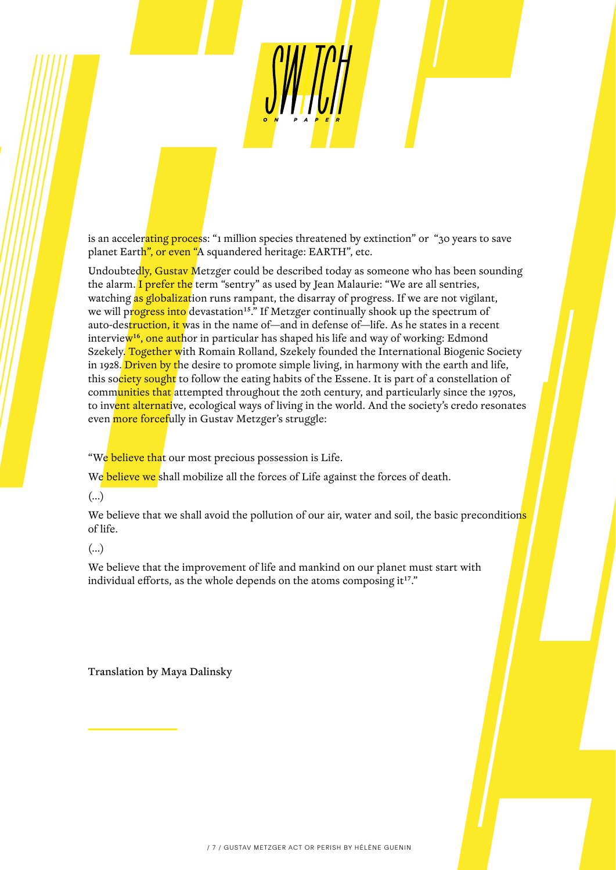is an accelerating process: "1 million species threatened by extinction" or "30 years to save planet Earth", or even "A squandered heritage: EARTH", etc.

Undoubtedly, Gustav Metzger could be described today as someone who has been sounding the alarm. I prefer the term "sentry" as used by Jean Malaurie: "We are all sentries, watching as globalization runs rampant, the disarray of progress. If we are not vigilant, we will progress into devastation<sup>15</sup>.<sup>"</sup> If Metzger continually shook up the spectrum of auto-destruction, it was in the name of—and in defense of—life. As he states in a recent intervie<mark>w<sup>16</sup>, one aut</mark>hor in particular has shaped his life and way of working: Edmond Szekely. Together with Romain Rolland, Szekely founded the International Biogenic Society in 1928. Driven by the desire to promote simple living, in harmony with the earth and life, this society sought to follow the eating habits of the Essene. It is part of a constellation of communities that attempted throughout the 20th century, and particularly since the 1970s, to invent alternative, ecological ways of living in the world. And the society's credo resonates even more forcefully in Gustav Metzger's struggle:

"We believe that our most precious possession is Life.

We believe we shall mobilize all the forces of Life against the forces of death.

(…)

We believe that we shall avoid the pollution of our air, water and soil, the basic preconditions of life.

#### (…)

We believe that the improvement of life and mankind on our planet must start with individual efforts, as the whole depends on the atoms composing it<sup>17</sup>."

Translation by Maya Dalinsky